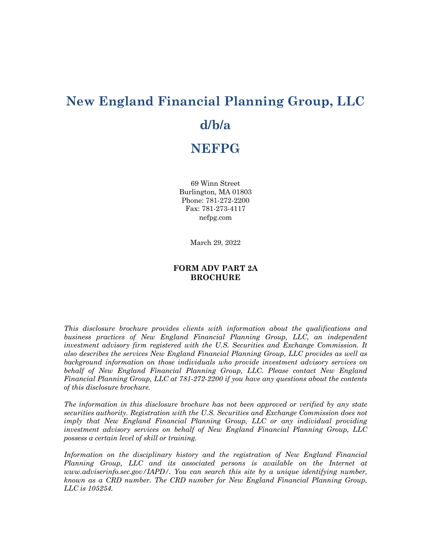# **New England Financial Planning Group, LLC d/b/a NEFPG**

69 Winn Street Burlington, MA 01803 Phone: 781-272-2200 Fax: 781-273-4117 nefpg.com

March 29, 2022

# **FORM ADV PART 2A BROCHURE**

*This disclosure brochure provides clients with information about the qualifications and business practices of New England Financial Planning Group, LLC, an independent investment advisory firm registered with the U.S. Securities and Exchange Commission. It also describes the services New England Financial Planning Group, LLC provides as well as background information on those individuals who provide investment advisory services on behalf of New England Financial Planning Group, LLC. Please contact New England Financial Planning Group, LLC at 781-272-2200 if you have any questions about the contents of this disclosure brochure.* 

*The information in this disclosure brochure has not been approved or verified by any state securities authority. Registration with the U.S. Securities and Exchange Commission does not imply that New England Financial Planning Group, LLC or any individual providing investment advisory services on behalf of New England Financial Planning Group, LLC possess a certain level of skill or training.*

*Information on the disciplinary history and the registration of New England Financial Planning Group, LLC and its associated persons is available on the Internet at www.adviserinfo.sec.gov/IAPD/. You can search this site by a unique identifying number, known as a CRD number. The CRD number for New England Financial Planning Group, LLC is 105254.*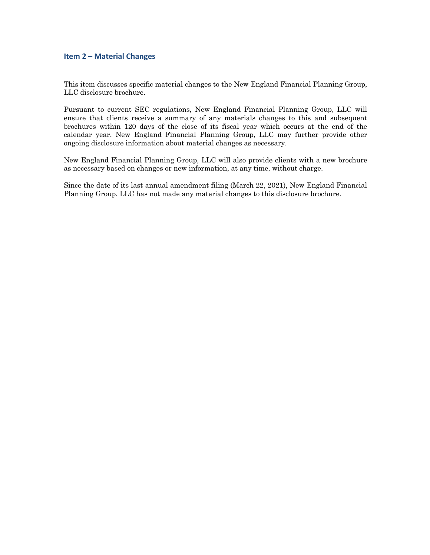## **Item 2 – Material Changes**

This item discusses specific material changes to the New England Financial Planning Group, LLC disclosure brochure.

Pursuant to current SEC regulations, New England Financial Planning Group, LLC will ensure that clients receive a summary of any materials changes to this and subsequent brochures within 120 days of the close of its fiscal year which occurs at the end of the calendar year. New England Financial Planning Group, LLC may further provide other ongoing disclosure information about material changes as necessary.

New England Financial Planning Group, LLC will also provide clients with a new brochure as necessary based on changes or new information, at any time, without charge.

Since the date of its last annual amendment filing (March 22, 2021), New England Financial Planning Group, LLC has not made any material changes to this disclosure brochure.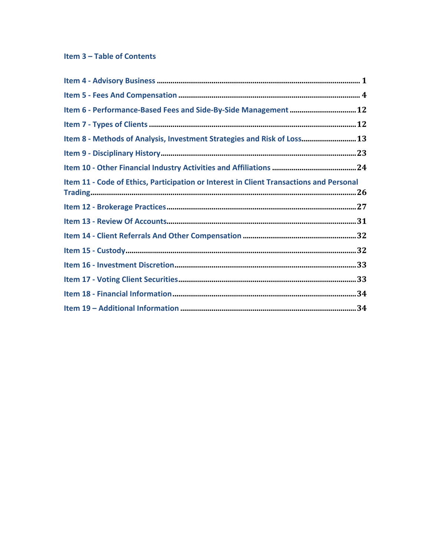# Item 3 - Table of Contents

| Item 6 - Performance-Based Fees and Side-By-Side Management  12                         |  |
|-----------------------------------------------------------------------------------------|--|
|                                                                                         |  |
| Item 8 - Methods of Analysis, Investment Strategies and Risk of Loss 13                 |  |
|                                                                                         |  |
|                                                                                         |  |
| Item 11 - Code of Ethics, Participation or Interest in Client Transactions and Personal |  |
|                                                                                         |  |
|                                                                                         |  |
|                                                                                         |  |
|                                                                                         |  |
|                                                                                         |  |
|                                                                                         |  |
|                                                                                         |  |
|                                                                                         |  |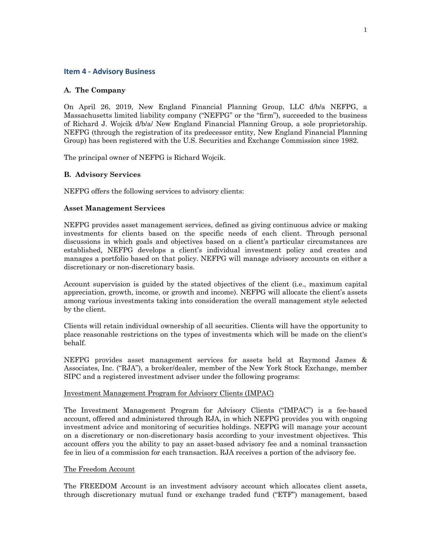## **Item 4 - Advisory Business**

## **A. The Company**

On April 26, 2019, New England Financial Planning Group, LLC d/b/a NEFPG, a Massachusetts limited liability company ("NEFPG" or the "firm"), succeeded to the business of Richard J. Wojcik d/b/a/ New England Financial Planning Group, a sole proprietorship. NEFPG (through the registration of its predecessor entity, New England Financial Planning Group) has been registered with the U.S. Securities and Exchange Commission since 1982.

The principal owner of NEFPG is Richard Wojcik.

## **B. Advisory Services**

NEFPG offers the following services to advisory clients:

## **Asset Management Services**

NEFPG provides asset management services, defined as giving continuous advice or making investments for clients based on the specific needs of each client. Through personal discussions in which goals and objectives based on a client's particular circumstances are established, NEFPG develops a client's individual investment policy and creates and manages a portfolio based on that policy. NEFPG will manage advisory accounts on either a discretionary or non-discretionary basis.

Account supervision is guided by the stated objectives of the client (i.e., maximum capital appreciation, growth, income, or growth and income). NEFPG will allocate the client's assets among various investments taking into consideration the overall management style selected by the client.

Clients will retain individual ownership of all securities. Clients will have the opportunity to place reasonable restrictions on the types of investments which will be made on the client's behalf.

NEFPG provides asset management services for assets held at Raymond James & Associates, Inc. ("RJA"), a broker/dealer, member of the New York Stock Exchange, member SIPC and a registered investment adviser under the following programs:

## Investment Management Program for Advisory Clients (IMPAC)

The Investment Management Program for Advisory Clients ("IMPAC") is a fee-based account, offered and administered through RJA, in which NEFPG provides you with ongoing investment advice and monitoring of securities holdings. NEFPG will manage your account on a discretionary or non-discretionary basis according to your investment objectives. This account offers you the ability to pay an asset-based advisory fee and a nominal transaction fee in lieu of a commission for each transaction. RJA receives a portion of the advisory fee.

## The Freedom Account

The FREEDOM Account is an investment advisory account which allocates client assets, through discretionary mutual fund or exchange traded fund ("ETF") management, based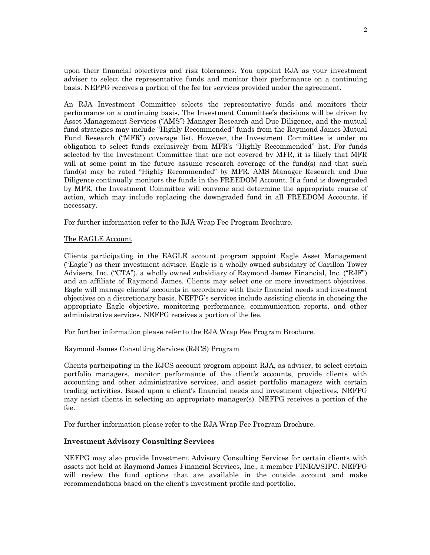upon their financial objectives and risk tolerances. You appoint RJA as your investment adviser to select the representative funds and monitor their performance on a continuing basis. NEFPG receives a portion of the fee for services provided under the agreement.

An RJA Investment Committee selects the representative funds and monitors their performance on a continuing basis. The Investment Committee's decisions will be driven by Asset Management Services ("AMS") Manager Research and Due Diligence, and the mutual fund strategies may include "Highly Recommended" funds from the Raymond James Mutual Fund Research ("MFR") coverage list. However, the Investment Committee is under no obligation to select funds exclusively from MFR's "Highly Recommended" list. For funds selected by the Investment Committee that are not covered by MFR, it is likely that MFR will at some point in the future assume research coverage of the fund(s) and that such fund(s) may be rated "Highly Recommended" by MFR. AMS Manager Research and Due Diligence continually monitors the funds in the FREEDOM Account. If a fund is downgraded by MFR, the Investment Committee will convene and determine the appropriate course of action, which may include replacing the downgraded fund in all FREEDOM Accounts, if necessary.

For further information refer to the RJA Wrap Fee Program Brochure.

#### The EAGLE Account

Clients participating in the EAGLE account program appoint Eagle Asset Management ("Eagle") as their investment adviser. Eagle is a wholly owned subsidiary of Carillon Tower Advisers, Inc. ("CTA"), a wholly owned subsidiary of Raymond James Financial, Inc. ("RJF") and an affiliate of Raymond James. Clients may select one or more investment objectives. Eagle will manage clients' accounts in accordance with their financial needs and investment objectives on a discretionary basis. NEFPG's services include assisting clients in choosing the appropriate Eagle objective, monitoring performance, communication reports, and other administrative services. NEFPG receives a portion of the fee.

For further information please refer to the RJA Wrap Fee Program Brochure.

## Raymond James Consulting Services (RJCS) Program

Clients participating in the RJCS account program appoint RJA, as adviser, to select certain portfolio managers, monitor performance of the client's accounts, provide clients with accounting and other administrative services, and assist portfolio managers with certain trading activities. Based upon a client's financial needs and investment objectives, NEFPG may assist clients in selecting an appropriate manager(s). NEFPG receives a portion of the fee.

For further information please refer to the RJA Wrap Fee Program Brochure.

## **Investment Advisory Consulting Services**

NEFPG may also provide Investment Advisory Consulting Services for certain clients with assets not held at Raymond James Financial Services, Inc., a member FINRA/SIPC. NEFPG will review the fund options that are available in the outside account and make recommendations based on the client's investment profile and portfolio.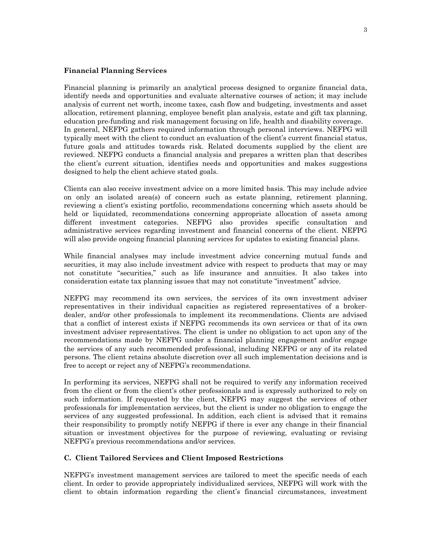#### **Financial Planning Services**

Financial planning is primarily an analytical process designed to organize financial data, identify needs and opportunities and evaluate alternative courses of action; it may include analysis of current net worth, income taxes, cash flow and budgeting, investments and asset allocation, retirement planning, employee benefit plan analysis, estate and gift tax planning, education pre-funding and risk management focusing on life, health and disability coverage. In general, NEFPG gathers required information through personal interviews. NEFPG will typically meet with the client to conduct an evaluation of the client's current financial status, future goals and attitudes towards risk. Related documents supplied by the client are reviewed. NEFPG conducts a financial analysis and prepares a written plan that describes the client's current situation, identifies needs and opportunities and makes suggestions designed to help the client achieve stated goals.

Clients can also receive investment advice on a more limited basis. This may include advice on only an isolated area(s) of concern such as estate planning, retirement planning, reviewing a client's existing portfolio, recommendations concerning which assets should be held or liquidated, recommendations concerning appropriate allocation of assets among different investment categories. NEFPG also provides specific consultation and administrative services regarding investment and financial concerns of the client. NEFPG will also provide ongoing financial planning services for updates to existing financial plans.

While financial analyses may include investment advice concerning mutual funds and securities, it may also include investment advice with respect to products that may or may not constitute "securities," such as life insurance and annuities. It also takes into consideration estate tax planning issues that may not constitute "investment" advice.

NEFPG may recommend its own services, the services of its own investment adviser representatives in their individual capacities as registered representatives of a brokerdealer, and/or other professionals to implement its recommendations. Clients are advised that a conflict of interest exists if NEFPG recommends its own services or that of its own investment adviser representatives. The client is under no obligation to act upon any of the recommendations made by NEFPG under a financial planning engagement and/or engage the services of any such recommended professional, including NEFPG or any of its related persons. The client retains absolute discretion over all such implementation decisions and is free to accept or reject any of NEFPG's recommendations.

In performing its services, NEFPG shall not be required to verify any information received from the client or from the client's other professionals and is expressly authorized to rely on such information. If requested by the client, NEFPG may suggest the services of other professionals for implementation services, but the client is under no obligation to engage the services of any suggested professional. In addition, each client is advised that it remains their responsibility to promptly notify NEFPG if there is ever any change in their financial situation or investment objectives for the purpose of reviewing, evaluating or revising NEFPG's previous recommendations and/or services.

#### **C. Client Tailored Services and Client Imposed Restrictions**

NEFPG's investment management services are tailored to meet the specific needs of each client. In order to provide appropriately individualized services, NEFPG will work with the client to obtain information regarding the client's financial circumstances, investment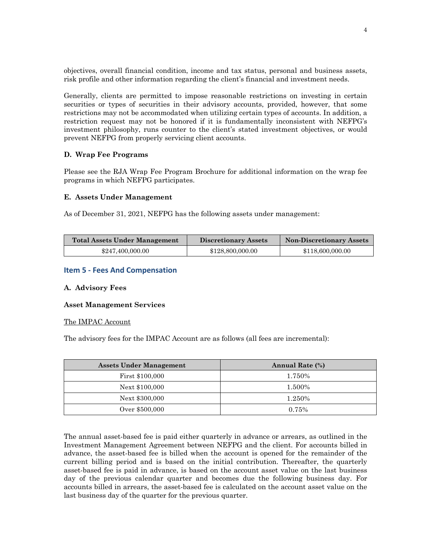objectives, overall financial condition, income and tax status, personal and business assets, risk profile and other information regarding the client's financial and investment needs.

Generally, clients are permitted to impose reasonable restrictions on investing in certain securities or types of securities in their advisory accounts, provided, however, that some restrictions may not be accommodated when utilizing certain types of accounts. In addition, a restriction request may not be honored if it is fundamentally inconsistent with NEFPG's investment philosophy, runs counter to the client's stated investment objectives, or would prevent NEFPG from properly servicing client accounts.

## **D. Wrap Fee Programs**

Please see the RJA Wrap Fee Program Brochure for additional information on the wrap fee programs in which NEFPG participates.

## **E. Assets Under Management**

As of December 31, 2021, NEFPG has the following assets under management:

| <b>Total Assets Under Management</b> | Discretionary Assets | Non-Discretionary Assets |
|--------------------------------------|----------------------|--------------------------|
| \$247,400,000.00                     | \$128,800,000,00     | \$118,600,000.00         |

# **Item 5 - Fees And Compensation**

## **A. Advisory Fees**

## **Asset Management Services**

## The IMPAC Account

The advisory fees for the IMPAC Account are as follows (all fees are incremental):

| <b>Assets Under Management</b> | <b>Annual Rate (%)</b> |
|--------------------------------|------------------------|
| First \$100,000                | 1.750%                 |
| Next \$100,000                 | 1.500%                 |
| Next \$300,000                 | 1.250%                 |
| Over \$500,000                 | 0.75%                  |

The annual asset-based fee is paid either quarterly in advance or arrears, as outlined in the Investment Management Agreement between NEFPG and the client. For accounts billed in advance, the asset-based fee is billed when the account is opened for the remainder of the current billing period and is based on the initial contribution. Thereafter, the quarterly asset-based fee is paid in advance, is based on the account asset value on the last business day of the previous calendar quarter and becomes due the following business day. For accounts billed in arrears, the asset-based fee is calculated on the account asset value on the last business day of the quarter for the previous quarter.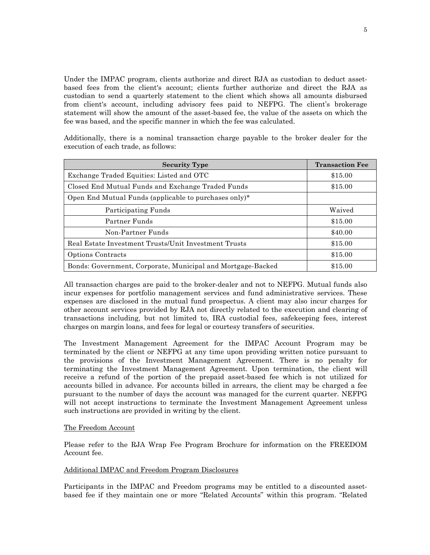Under the IMPAC program, clients authorize and direct RJA as custodian to deduct assetbased fees from the client's account; clients further authorize and direct the RJA as custodian to send a quarterly statement to the client which shows all amounts disbursed from client's account, including advisory fees paid to NEFPG. The client's brokerage statement will show the amount of the asset-based fee, the value of the assets on which the fee was based, and the specific manner in which the fee was calculated.

Additionally, there is a nominal transaction charge payable to the broker dealer for the execution of each trade, as follows:

| <b>Security Type</b>                                        | <b>Transaction Fee</b> |
|-------------------------------------------------------------|------------------------|
| Exchange Traded Equities: Listed and OTC                    | \$15.00                |
| Closed End Mutual Funds and Exchange Traded Funds           | \$15.00                |
| Open End Mutual Funds (applicable to purchases only)*       |                        |
| Participating Funds                                         | Waived                 |
| Partner Funds                                               | \$15.00                |
| Non-Partner Funds                                           | \$40.00                |
| Real Estate Investment Trusts/Unit Investment Trusts        | \$15.00                |
| Options Contracts                                           | \$15.00                |
| Bonds: Government, Corporate, Municipal and Mortgage-Backed | \$15.00                |

All transaction charges are paid to the broker-dealer and not to NEFPG. Mutual funds also incur expenses for portfolio management services and fund administrative services. These expenses are disclosed in the mutual fund prospectus. A client may also incur charges for other account services provided by RJA not directly related to the execution and clearing of transactions including, but not limited to, IRA custodial fees, safekeeping fees, interest charges on margin loans, and fees for legal or courtesy transfers of securities.

The Investment Management Agreement for the IMPAC Account Program may be terminated by the client or NEFPG at any time upon providing written notice pursuant to the provisions of the Investment Management Agreement. There is no penalty for terminating the Investment Management Agreement. Upon termination, the client will receive a refund of the portion of the prepaid asset-based fee which is not utilized for accounts billed in advance. For accounts billed in arrears, the client may be charged a fee pursuant to the number of days the account was managed for the current quarter. NEFPG will not accept instructions to terminate the Investment Management Agreement unless such instructions are provided in writing by the client.

#### The Freedom Account

Please refer to the RJA Wrap Fee Program Brochure for information on the FREEDOM Account fee.

## Additional IMPAC and Freedom Program Disclosures

Participants in the IMPAC and Freedom programs may be entitled to a discounted assetbased fee if they maintain one or more "Related Accounts" within this program. "Related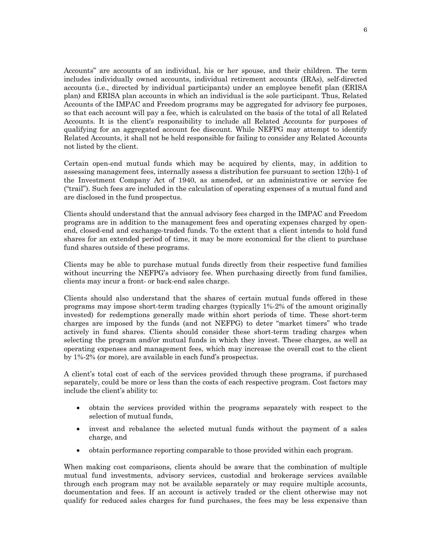Accounts" are accounts of an individual, his or her spouse, and their children. The term includes individually owned accounts, individual retirement accounts (IRAs), self-directed accounts (i.e., directed by individual participants) under an employee benefit plan (ERISA plan) and ERISA plan accounts in which an individual is the sole participant. Thus, Related Accounts of the IMPAC and Freedom programs may be aggregated for advisory fee purposes, so that each account will pay a fee, which is calculated on the basis of the total of all Related Accounts. It is the client's responsibility to include all Related Accounts for purposes of qualifying for an aggregated account fee discount. While NEFPG may attempt to identify Related Accounts, it shall not be held responsible for failing to consider any Related Accounts not listed by the client.

Certain open-end mutual funds which may be acquired by clients, may, in addition to assessing management fees, internally assess a distribution fee pursuant to section 12(b)-1 of the Investment Company Act of 1940, as amended, or an administrative or service fee ("trail"). Such fees are included in the calculation of operating expenses of a mutual fund and are disclosed in the fund prospectus.

Clients should understand that the annual advisory fees charged in the IMPAC and Freedom programs are in addition to the management fees and operating expenses charged by openend, closed-end and exchange-traded funds. To the extent that a client intends to hold fund shares for an extended period of time, it may be more economical for the client to purchase fund shares outside of these programs.

Clients may be able to purchase mutual funds directly from their respective fund families without incurring the NEFPG's advisory fee. When purchasing directly from fund families, clients may incur a front- or back-end sales charge.

Clients should also understand that the shares of certain mutual funds offered in these programs may impose short-term trading charges (typically 1%-2% of the amount originally invested) for redemptions generally made within short periods of time. These short-term charges are imposed by the funds (and not NEFPG) to deter "market timers" who trade actively in fund shares. Clients should consider these short-term trading charges when selecting the program and/or mutual funds in which they invest. These charges, as well as operating expenses and management fees, which may increase the overall cost to the client by 1%-2% (or more), are available in each fund's prospectus.

A client's total cost of each of the services provided through these programs, if purchased separately, could be more or less than the costs of each respective program. Cost factors may include the client's ability to:

- obtain the services provided within the programs separately with respect to the selection of mutual funds,
- invest and rebalance the selected mutual funds without the payment of a sales charge, and
- obtain performance reporting comparable to those provided within each program.

When making cost comparisons, clients should be aware that the combination of multiple mutual fund investments, advisory services, custodial and brokerage services available through each program may not be available separately or may require multiple accounts, documentation and fees. If an account is actively traded or the client otherwise may not qualify for reduced sales charges for fund purchases, the fees may be less expensive than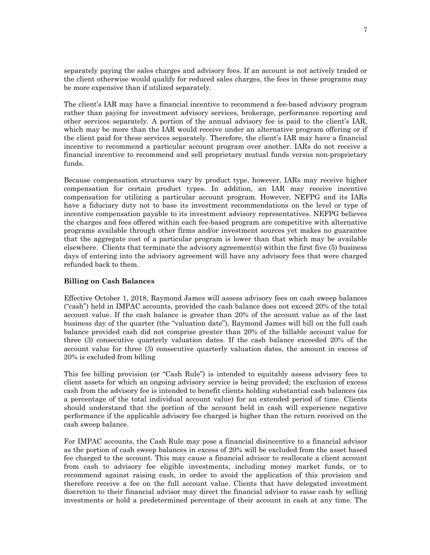separately paying the sales charges and advisory fees. If an account is not actively traded or the client otherwise would qualify for reduced sales charges, the fees in these programs may be more expensive than if utilized separately.

The client's IAR may have a financial incentive to recommend a fee-based advisory program rather than paying for investment advisory services, brokerage, performance reporting and other services separately. A portion of the annual advisory fee is paid to the client's IAR, which may be more than the IAR would receive under an alternative program offering or if the client paid for these services separately. Therefore, the client's IAR may have a financial incentive to recommend a particular account program over another. IARs do not receive a financial incentive to recommend and sell proprietary mutual funds versus non-proprietary funds.

Because compensation structures vary by product type, however, IARs may receive higher compensation for certain product types. In addition, an IAR may receive incentive compensation for utilizing a particular account program. However, NEFPG and its IARs have a fiduciary duty not to base its investment recommendations on the level or type of incentive compensation payable to its investment advisory representatives. NEFPG believes the charges and fees offered within each fee-based program are competitive with alternative programs available through other firms and/or investment sources yet makes no guarantee that the aggregate cost of a particular program is lower than that which may be available elsewhere. Clients that terminate the advisory agreement(s) within the first five (5) business days of entering into the advisory agreement will have any advisory fees that were charged refunded back to them.

## **Billing on Cash Balances**

Effective October 1, 2018, Raymond James will assess advisory fees on cash sweep balances ("cash") held in IMPAC accounts, provided the cash balance does not exceed 20% of the total account value. If the cash balance is greater than 20% of the account value as of the last business day of the quarter (the "valuation date"), Raymond James will bill on the full cash balance provided cash did not comprise greater than 20% of the billable account value for three (3) consecutive quarterly valuation dates. If the cash balance exceeded 20% of the account value for three (3) consecutive quarterly valuation dates, the amount in excess of 20% is excluded from billing

This fee billing provision (or "Cash Rule") is intended to equitably assess advisory fees to client assets for which an ongoing advisory service is being provided; the exclusion of excess cash from the advisory fee is intended to benefit clients holding substantial cash balances (as a percentage of the total individual account value) for an extended period of time. Clients should understand that the portion of the account held in cash will experience negative performance if the applicable advisory fee charged is higher than the return received on the cash sweep balance.

For IMPAC accounts, the Cash Rule may pose a financial disincentive to a financial advisor as the portion of cash sweep balances in excess of 20% will be excluded from the asset based fee charged to the account. This may cause a financial advisor to reallocate a client account from cash to advisory fee eligible investments, including money market funds, or to recommend against raising cash, in order to avoid the application of this provision and therefore receive a fee on the full account value. Clients that have delegated investment discretion to their financial advisor may direct the financial advisor to raise cash by selling investments or hold a predetermined percentage of their account in cash at any time. The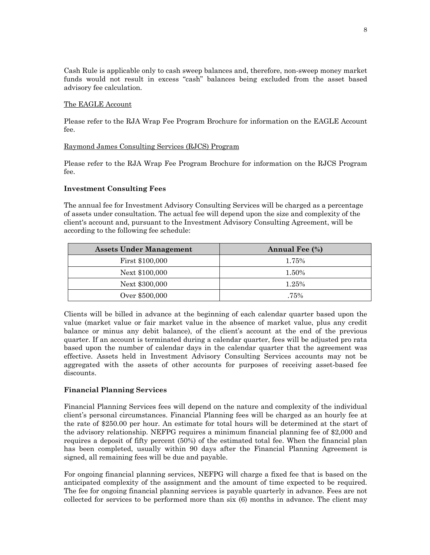Cash Rule is applicable only to cash sweep balances and, therefore, non-sweep money market funds would not result in excess "cash" balances being excluded from the asset based advisory fee calculation.

#### The EAGLE Account

Please refer to the RJA Wrap Fee Program Brochure for information on the EAGLE Account fee.

## Raymond James Consulting Services (RJCS) Program

Please refer to the RJA Wrap Fee Program Brochure for information on the RJCS Program fee.

## **Investment Consulting Fees**

The annual fee for Investment Advisory Consulting Services will be charged as a percentage of assets under consultation. The actual fee will depend upon the size and complexity of the client's account and, pursuant to the Investment Advisory Consulting Agreement, will be according to the following fee schedule:

| <b>Assets Under Management</b> | <b>Annual Fee (%)</b> |
|--------------------------------|-----------------------|
| First \$100,000                | 1.75%                 |
| Next \$100,000                 | 1.50%                 |
| Next \$300,000                 | 1.25%                 |
| Over \$500,000                 | .75%                  |

Clients will be billed in advance at the beginning of each calendar quarter based upon the value (market value or fair market value in the absence of market value, plus any credit balance or minus any debit balance), of the client's account at the end of the previous quarter. If an account is terminated during a calendar quarter, fees will be adjusted pro rata based upon the number of calendar days in the calendar quarter that the agreement was effective. Assets held in Investment Advisory Consulting Services accounts may not be aggregated with the assets of other accounts for purposes of receiving asset-based fee discounts.

## **Financial Planning Services**

Financial Planning Services fees will depend on the nature and complexity of the individual client's personal circumstances. Financial Planning fees will be charged as an hourly fee at the rate of \$250.00 per hour. An estimate for total hours will be determined at the start of the advisory relationship. NEFPG requires a minimum financial planning fee of \$2,000 and requires a deposit of fifty percent (50%) of the estimated total fee. When the financial plan has been completed, usually within 90 days after the Financial Planning Agreement is signed, all remaining fees will be due and payable.

For ongoing financial planning services, NEFPG will charge a fixed fee that is based on the anticipated complexity of the assignment and the amount of time expected to be required. The fee for ongoing financial planning services is payable quarterly in advance. Fees are not collected for services to be performed more than six (6) months in advance. The client may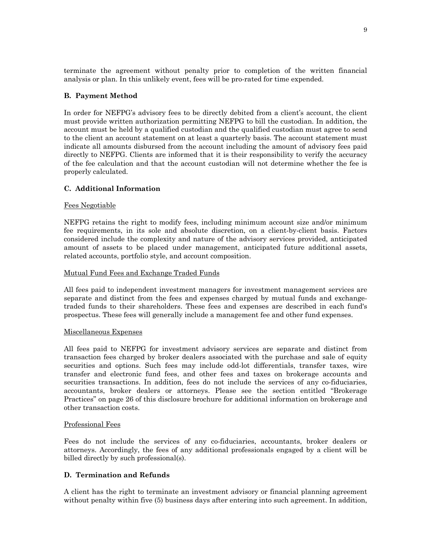terminate the agreement without penalty prior to completion of the written financial analysis or plan. In this unlikely event, fees will be pro-rated for time expended.

#### **B. Payment Method**

In order for NEFPG's advisory fees to be directly debited from a client's account, the client must provide written authorization permitting NEFPG to bill the custodian. In addition, the account must be held by a qualified custodian and the qualified custodian must agree to send to the client an account statement on at least a quarterly basis. The account statement must indicate all amounts disbursed from the account including the amount of advisory fees paid directly to NEFPG. Clients are informed that it is their responsibility to verify the accuracy of the fee calculation and that the account custodian will not determine whether the fee is properly calculated.

## **C. Additional Information**

#### Fees Negotiable

NEFPG retains the right to modify fees, including minimum account size and/or minimum fee requirements, in its sole and absolute discretion, on a client-by-client basis. Factors considered include the complexity and nature of the advisory services provided, anticipated amount of assets to be placed under management, anticipated future additional assets, related accounts, portfolio style, and account composition.

#### Mutual Fund Fees and Exchange Traded Funds

All fees paid to independent investment managers for investment management services are separate and distinct from the fees and expenses charged by mutual funds and exchangetraded funds to their shareholders. These fees and expenses are described in each fund's prospectus. These fees will generally include a management fee and other fund expenses.

#### Miscellaneous Expenses

All fees paid to NEFPG for investment advisory services are separate and distinct from transaction fees charged by broker dealers associated with the purchase and sale of equity securities and options. Such fees may include odd-lot differentials, transfer taxes, wire transfer and electronic fund fees, and other fees and taxes on brokerage accounts and securities transactions. In addition, fees do not include the services of any co-fiduciaries, accountants, broker dealers or attorneys. Please see the section entitled "Brokerage Practices" on page 26 of this disclosure brochure for additional information on brokerage and other transaction costs.

#### Professional Fees

Fees do not include the services of any co-fiduciaries, accountants, broker dealers or attorneys. Accordingly, the fees of any additional professionals engaged by a client will be billed directly by such professional(s).

#### **D. Termination and Refunds**

A client has the right to terminate an investment advisory or financial planning agreement without penalty within five (5) business days after entering into such agreement. In addition,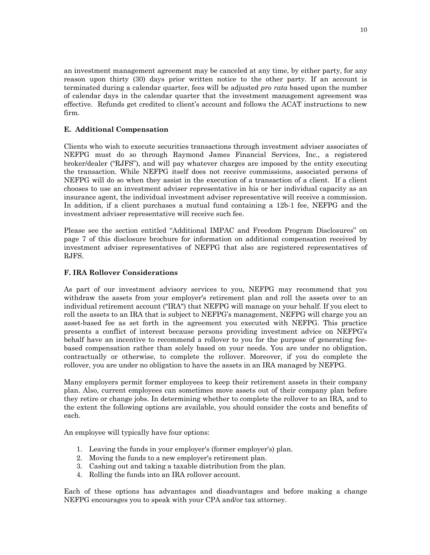an investment management agreement may be canceled at any time, by either party, for any reason upon thirty (30) days prior written notice to the other party. If an account is terminated during a calendar quarter, fees will be adjusted *pro rata* based upon the number of calendar days in the calendar quarter that the investment management agreement was effective. Refunds get credited to client's account and follows the ACAT instructions to new firm.

# **E. Additional Compensation**

Clients who wish to execute securities transactions through investment adviser associates of NEFPG must do so through Raymond James Financial Services, Inc., a registered broker/dealer ("RJFS"), and will pay whatever charges are imposed by the entity executing the transaction. While NEFPG itself does not receive commissions, associated persons of NEFPG will do so when they assist in the execution of a transaction of a client. If a client chooses to use an investment adviser representative in his or her individual capacity as an insurance agent, the individual investment adviser representative will receive a commission. In addition, if a client purchases a mutual fund containing a 12b-1 fee, NEFPG and the investment adviser representative will receive such fee.

Please see the section entitled "Additional IMPAC and Freedom Program Disclosures" on page 7 of this disclosure brochure for information on additional compensation received by investment adviser representatives of NEFPG that also are registered representatives of RJFS.

# **F. IRA Rollover Considerations**

As part of our investment advisory services to you, NEFPG may recommend that you withdraw the assets from your employer's retirement plan and roll the assets over to an individual retirement account ("IRA") that NEFPG will manage on your behalf. If you elect to roll the assets to an IRA that is subject to NEFPG's management, NEFPG will charge you an asset-based fee as set forth in the agreement you executed with NEFPG. This practice presents a conflict of interest because persons providing investment advice on NEFPG's behalf have an incentive to recommend a rollover to you for the purpose of generating feebased compensation rather than solely based on your needs. You are under no obligation, contractually or otherwise, to complete the rollover. Moreover, if you do complete the rollover, you are under no obligation to have the assets in an IRA managed by NEFPG.

Many employers permit former employees to keep their retirement assets in their company plan. Also, current employees can sometimes move assets out of their company plan before they retire or change jobs. In determining whether to complete the rollover to an IRA, and to the extent the following options are available, you should consider the costs and benefits of each.

An employee will typically have four options:

- 1. Leaving the funds in your employer's (former employer's) plan.
- 2. Moving the funds to a new employer's retirement plan.
- 3. Cashing out and taking a taxable distribution from the plan.
- 4. Rolling the funds into an IRA rollover account.

Each of these options has advantages and disadvantages and before making a change NEFPG encourages you to speak with your CPA and/or tax attorney.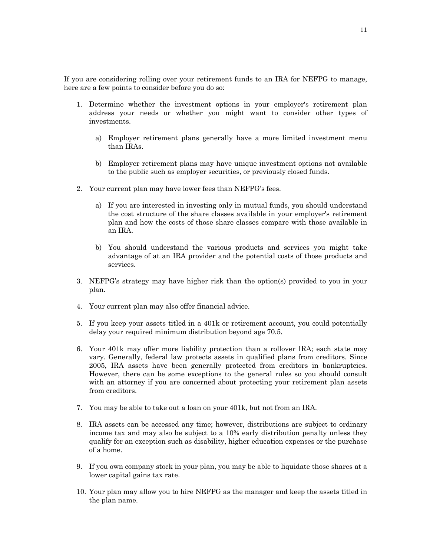If you are considering rolling over your retirement funds to an IRA for NEFPG to manage, here are a few points to consider before you do so:

- 1. Determine whether the investment options in your employer's retirement plan address your needs or whether you might want to consider other types of investments.
	- a) Employer retirement plans generally have a more limited investment menu than IRAs.
	- b) Employer retirement plans may have unique investment options not available to the public such as employer securities, or previously closed funds.
- 2. Your current plan may have lower fees than NEFPG's fees.
	- a) If you are interested in investing only in mutual funds, you should understand the cost structure of the share classes available in your employer's retirement plan and how the costs of those share classes compare with those available in an IRA.
	- b) You should understand the various products and services you might take advantage of at an IRA provider and the potential costs of those products and services.
- 3. NEFPG's strategy may have higher risk than the option(s) provided to you in your plan.
- 4. Your current plan may also offer financial advice.
- 5. If you keep your assets titled in a 401k or retirement account, you could potentially delay your required minimum distribution beyond age 70.5.
- 6. Your 401k may offer more liability protection than a rollover IRA; each state may vary. Generally, federal law protects assets in qualified plans from creditors. Since 2005, IRA assets have been generally protected from creditors in bankruptcies. However, there can be some exceptions to the general rules so you should consult with an attorney if you are concerned about protecting your retirement plan assets from creditors.
- 7. You may be able to take out a loan on your 401k, but not from an IRA.
- 8. IRA assets can be accessed any time; however, distributions are subject to ordinary income tax and may also be subject to a 10% early distribution penalty unless they qualify for an exception such as disability, higher education expenses or the purchase of a home.
- 9. If you own company stock in your plan, you may be able to liquidate those shares at a lower capital gains tax rate.
- 10. Your plan may allow you to hire NEFPG as the manager and keep the assets titled in the plan name.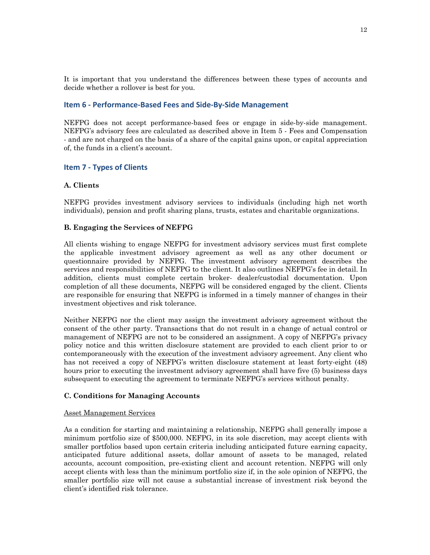It is important that you understand the differences between these types of accounts and decide whether a rollover is best for you.

#### **Item 6 - Performance-Based Fees and Side-By-Side Management**

NEFPG does not accept performance-based fees or engage in side-by-side management. NEFPG's advisory fees are calculated as described above in Item 5 - Fees and Compensation - and are not charged on the basis of a share of the capital gains upon, or capital appreciation of, the funds in a client's account.

# **Item 7 - Types of Clients**

## **A. Clients**

NEFPG provides investment advisory services to individuals (including high net worth individuals), pension and profit sharing plans, trusts, estates and charitable organizations.

## **B. Engaging the Services of NEFPG**

All clients wishing to engage NEFPG for investment advisory services must first complete the applicable investment advisory agreement as well as any other document or questionnaire provided by NEFPG. The investment advisory agreement describes the services and responsibilities of NEFPG to the client. It also outlines NEFPG's fee in detail. In addition, clients must complete certain broker- dealer/custodial documentation. Upon completion of all these documents, NEFPG will be considered engaged by the client. Clients are responsible for ensuring that NEFPG is informed in a timely manner of changes in their investment objectives and risk tolerance.

Neither NEFPG nor the client may assign the investment advisory agreement without the consent of the other party. Transactions that do not result in a change of actual control or management of NEFPG are not to be considered an assignment. A copy of NEFPG's privacy policy notice and this written disclosure statement are provided to each client prior to or contemporaneously with the execution of the investment advisory agreement. Any client who has not received a copy of NEFPG's written disclosure statement at least forty-eight (48) hours prior to executing the investment advisory agreement shall have five (5) business days subsequent to executing the agreement to terminate NEFPG's services without penalty.

## **C. Conditions for Managing Accounts**

#### Asset Management Services

As a condition for starting and maintaining a relationship, NEFPG shall generally impose a minimum portfolio size of \$500,000. NEFPG, in its sole discretion, may accept clients with smaller portfolios based upon certain criteria including anticipated future earning capacity, anticipated future additional assets, dollar amount of assets to be managed, related accounts, account composition, pre-existing client and account retention. NEFPG will only accept clients with less than the minimum portfolio size if, in the sole opinion of NEFPG, the smaller portfolio size will not cause a substantial increase of investment risk beyond the client's identified risk tolerance.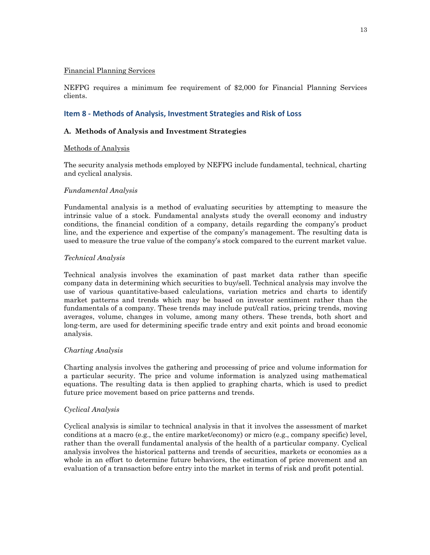#### Financial Planning Services

NEFPG requires a minimum fee requirement of \$2,000 for Financial Planning Services clients.

# **Item 8 - Methods of Analysis, Investment Strategies and Risk of Loss**

## **A. Methods of Analysis and Investment Strategies**

## Methods of Analysis

The security analysis methods employed by NEFPG include fundamental, technical, charting and cyclical analysis.

## *Fundamental Analysis*

Fundamental analysis is a method of evaluating securities by attempting to measure the intrinsic value of a stock. Fundamental analysts study the overall economy and industry conditions, the financial condition of a company, details regarding the company's product line, and the experience and expertise of the company's management. The resulting data is used to measure the true value of the company's stock compared to the current market value.

## *Technical Analysis*

Technical analysis involves the examination of past market data rather than specific company data in determining which securities to buy/sell. Technical analysis may involve the use of various quantitative-based calculations, variation metrics and charts to identify market patterns and trends which may be based on investor sentiment rather than the fundamentals of a company. These trends may include put/call ratios, pricing trends, moving averages, volume, changes in volume, among many others. These trends, both short and long-term, are used for determining specific trade entry and exit points and broad economic analysis.

## *Charting Analysis*

Charting analysis involves the gathering and processing of price and volume information for a particular security. The price and volume information is analyzed using mathematical equations. The resulting data is then applied to graphing charts, which is used to predict future price movement based on price patterns and trends.

## *Cyclical Analysis*

Cyclical analysis is similar to technical analysis in that it involves the assessment of market conditions at a macro (e.g., the entire market/economy) or micro (e.g., company specific) level, rather than the overall fundamental analysis of the health of a particular company. Cyclical analysis involves the historical patterns and trends of securities, markets or economies as a whole in an effort to determine future behaviors, the estimation of price movement and an evaluation of a transaction before entry into the market in terms of risk and profit potential.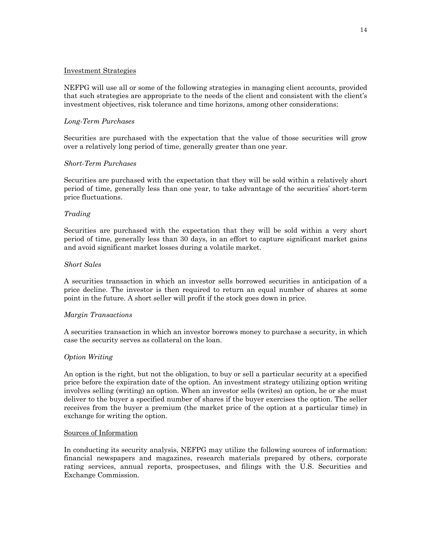#### Investment Strategies

NEFPG will use all or some of the following strategies in managing client accounts, provided that such strategies are appropriate to the needs of the client and consistent with the client's investment objectives, risk tolerance and time horizons, among other considerations:

## *Long-Term Purchases*

Securities are purchased with the expectation that the value of those securities will grow over a relatively long period of time, generally greater than one year.

#### *Short-Term Purchases*

Securities are purchased with the expectation that they will be sold within a relatively short period of time, generally less than one year, to take advantage of the securities' short-term price fluctuations.

## *Trading*

Securities are purchased with the expectation that they will be sold within a very short period of time, generally less than 30 days, in an effort to capture significant market gains and avoid significant market losses during a volatile market.

#### *Short Sales*

A securities transaction in which an investor sells borrowed securities in anticipation of a price decline. The investor is then required to return an equal number of shares at some point in the future. A short seller will profit if the stock goes down in price.

#### *Margin Transactions*

A securities transaction in which an investor borrows money to purchase a security, in which case the security serves as collateral on the loan.

## *Option Writing*

An option is the right, but not the obligation, to buy or sell a particular security at a specified price before the expiration date of the option. An investment strategy utilizing option writing involves selling (writing) an option. When an investor sells (writes) an option, he or she must deliver to the buyer a specified number of shares if the buyer exercises the option. The seller receives from the buyer a premium (the market price of the option at a particular time) in exchange for writing the option.

#### Sources of Information

In conducting its security analysis, NEFPG may utilize the following sources of information: financial newspapers and magazines, research materials prepared by others, corporate rating services, annual reports, prospectuses, and filings with the U.S. Securities and Exchange Commission.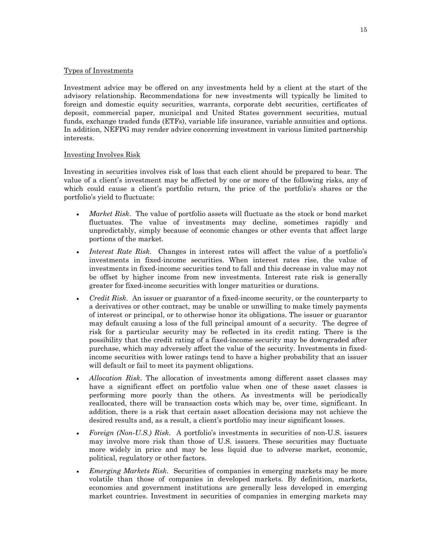## Types of Investments

Investment advice may be offered on any investments held by a client at the start of the advisory relationship. Recommendations for new investments will typically be limited to foreign and domestic equity securities, warrants, corporate debt securities, certificates of deposit, commercial paper, municipal and United States government securities, mutual funds, exchange traded funds (ETFs), variable life insurance, variable annuities and options. In addition, NEFPG may render advice concerning investment in various limited partnership interests.

## Investing Involves Risk

Investing in securities involves risk of loss that each client should be prepared to bear. The value of a client's investment may be affected by one or more of the following risks, any of which could cause a client's portfolio return, the price of the portfolio's shares or the portfolio's yield to fluctuate:

- *Market Risk.* The value of portfolio assets will fluctuate as the stock or bond market fluctuates. The value of investments may decline, sometimes rapidly and unpredictably, simply because of economic changes or other events that affect large portions of the market.
- *Interest Rate Risk*. Changes in interest rates will affect the value of a portfolio's investments in fixed-income securities. When interest rates rise, the value of investments in fixed-income securities tend to fall and this decrease in value may not be offset by higher income from new investments. Interest rate risk is generally greater for fixed-income securities with longer maturities or durations.
- *Credit Risk*. An issuer or guarantor of a fixed-income security, or the counterparty to a derivatives or other contract, may be unable or unwilling to make timely payments of interest or principal, or to otherwise honor its obligations. The issuer or guarantor may default causing a loss of the full principal amount of a security. The degree of risk for a particular security may be reflected in its credit rating. There is the possibility that the credit rating of a fixed-income security may be downgraded after purchase, which may adversely affect the value of the security. Investments in fixedincome securities with lower ratings tend to have a higher probability that an issuer will default or fail to meet its payment obligations.
- *Allocation Risk*. The allocation of investments among different asset classes may have a significant effect on portfolio value when one of these asset classes is performing more poorly than the others. As investments will be periodically reallocated, there will be transaction costs which may be, over time, significant. In addition, there is a risk that certain asset allocation decisions may not achieve the desired results and, as a result, a client's portfolio may incur significant losses.
- *Foreign (Non-U.S.) Risk.* A portfolio's investments in securities of non-U.S. issuers may involve more risk than those of U.S. issuers. These securities may fluctuate more widely in price and may be less liquid due to adverse market, economic, political, regulatory or other factors.
- *Emerging Markets Risk*. Securities of companies in emerging markets may be more volatile than those of companies in developed markets. By definition, markets, economies and government institutions are generally less developed in emerging market countries. Investment in securities of companies in emerging markets may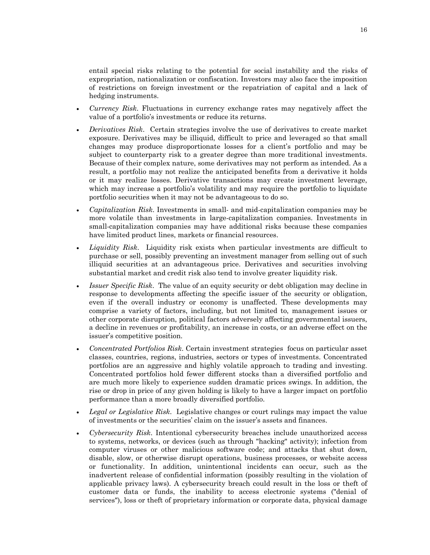entail special risks relating to the potential for social instability and the risks of expropriation, nationalization or confiscation. Investors may also face the imposition of restrictions on foreign investment or the repatriation of capital and a lack of hedging instruments.

- *Currency Risk*. Fluctuations in currency exchange rates may negatively affect the value of a portfolio's investments or reduce its returns.
- *Derivatives Risk*. Certain strategies involve the use of derivatives to create market exposure. Derivatives may be illiquid, difficult to price and leveraged so that small changes may produce disproportionate losses for a client's portfolio and may be subject to counterparty risk to a greater degree than more traditional investments. Because of their complex nature, some derivatives may not perform as intended. As a result, a portfolio may not realize the anticipated benefits from a derivative it holds or it may realize losses. Derivative transactions may create investment leverage, which may increase a portfolio's volatility and may require the portfolio to liquidate portfolio securities when it may not be advantageous to do so.
- *Capitalization Risk*. Investments in small- and mid-capitalization companies may be more volatile than investments in large-capitalization companies. Investments in small-capitalization companies may have additional risks because these companies have limited product lines, markets or financial resources.
- *Liquidity Risk*. Liquidity risk exists when particular investments are difficult to purchase or sell, possibly preventing an investment manager from selling out of such illiquid securities at an advantageous price. Derivatives and securities involving substantial market and credit risk also tend to involve greater liquidity risk.
- *Issuer Specific Risk*. The value of an equity security or debt obligation may decline in response to developments affecting the specific issuer of the security or obligation, even if the overall industry or economy is unaffected. These developments may comprise a variety of factors, including, but not limited to, management issues or other corporate disruption, political factors adversely affecting governmental issuers, a decline in revenues or profitability, an increase in costs, or an adverse effect on the issuer's competitive position.
- *Concentrated Portfolios Risk*. Certain investment strategies focus on particular asset classes, countries, regions, industries, sectors or types of investments. Concentrated portfolios are an aggressive and highly volatile approach to trading and investing. Concentrated portfolios hold fewer different stocks than a diversified portfolio and are much more likely to experience sudden dramatic prices swings. In addition, the rise or drop in price of any given holding is likely to have a larger impact on portfolio performance than a more broadly diversified portfolio.
- *Legal or Legislative Risk*. Legislative changes or court rulings may impact the value of investments or the securities' claim on the issuer's assets and finances.
- *Cybersecurity Risk*. Intentional cybersecurity breaches include unauthorized access to systems, networks, or devices (such as through "hacking" activity); infection from computer viruses or other malicious software code; and attacks that shut down, disable, slow, or otherwise disrupt operations, business processes, or website access or functionality. In addition, unintentional incidents can occur, such as the inadvertent release of confidential information (possibly resulting in the violation of applicable privacy laws). A cybersecurity breach could result in the loss or theft of customer data or funds, the inability to access electronic systems ("denial of services"), loss or theft of proprietary information or corporate data, physical damage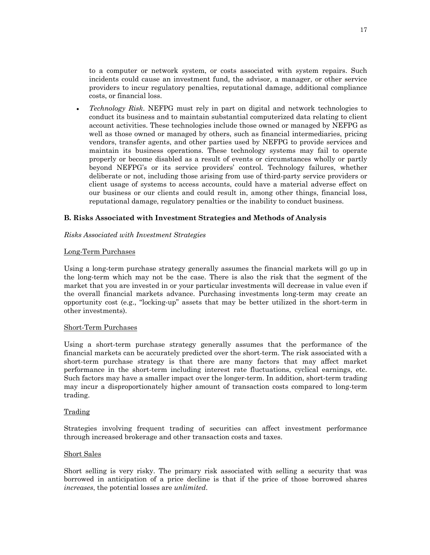to a computer or network system, or costs associated with system repairs. Such incidents could cause an investment fund, the advisor, a manager, or other service providers to incur regulatory penalties, reputational damage, additional compliance costs, or financial loss.

• *Technology Risk*. NEFPG must rely in part on digital and network technologies to conduct its business and to maintain substantial computerized data relating to client account activities. These technologies include those owned or managed by NEFPG as well as those owned or managed by others, such as financial intermediaries, pricing vendors, transfer agents, and other parties used by NEFPG to provide services and maintain its business operations. These technology systems may fail to operate properly or become disabled as a result of events or circumstances wholly or partly beyond NEFPG's or its service providers' control. Technology failures, whether deliberate or not, including those arising from use of third-party service providers or client usage of systems to access accounts, could have a material adverse effect on our business or our clients and could result in, among other things, financial loss, reputational damage, regulatory penalties or the inability to conduct business.

## **B. Risks Associated with Investment Strategies and Methods of Analysis**

#### *Risks Associated with Investment Strategies*

#### Long-Term Purchases

Using a long-term purchase strategy generally assumes the financial markets will go up in the long-term which may not be the case. There is also the risk that the segment of the market that you are invested in or your particular investments will decrease in value even if the overall financial markets advance. Purchasing investments long-term may create an opportunity cost (e.g., "locking-up" assets that may be better utilized in the short-term in other investments).

#### Short-Term Purchases

Using a short-term purchase strategy generally assumes that the performance of the financial markets can be accurately predicted over the short-term. The risk associated with a short-term purchase strategy is that there are many factors that may affect market performance in the short-term including interest rate fluctuations, cyclical earnings, etc. Such factors may have a smaller impact over the longer-term. In addition, short-term trading may incur a disproportionately higher amount of transaction costs compared to long-term trading.

#### **Trading**

Strategies involving frequent trading of securities can affect investment performance through increased brokerage and other transaction costs and taxes.

#### Short Sales

Short selling is very risky. The primary risk associated with selling a security that was borrowed in anticipation of a price decline is that if the price of those borrowed shares *increases*, the potential losses are *unlimited*.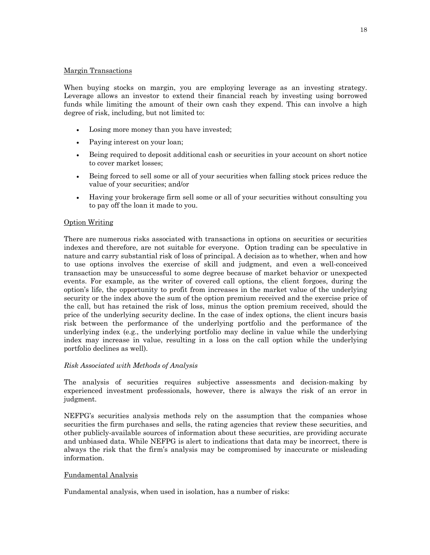#### Margin Transactions

When buying stocks on margin, you are employing leverage as an investing strategy. Leverage allows an investor to extend their financial reach by investing using borrowed funds while limiting the amount of their own cash they expend. This can involve a high degree of risk, including, but not limited to:

- Losing more money than you have invested;
- Paying interest on your loan;
- Being required to deposit additional cash or securities in your account on short notice to cover market losses;
- Being forced to sell some or all of your securities when falling stock prices reduce the value of your securities; and/or
- Having your brokerage firm sell some or all of your securities without consulting you to pay off the loan it made to you.

## Option Writing

There are numerous risks associated with transactions in options on securities or securities indexes and therefore, are not suitable for everyone. Option trading can be speculative in nature and carry substantial risk of loss of principal. A decision as to whether, when and how to use options involves the exercise of skill and judgment, and even a well-conceived transaction may be unsuccessful to some degree because of market behavior or unexpected events. For example, as the writer of covered call options, the client forgoes, during the option's life, the opportunity to profit from increases in the market value of the underlying security or the index above the sum of the option premium received and the exercise price of the call, but has retained the risk of loss, minus the option premium received, should the price of the underlying security decline. In the case of index options, the client incurs basis risk between the performance of the underlying portfolio and the performance of the underlying index (e.g., the underlying portfolio may decline in value while the underlying index may increase in value, resulting in a loss on the call option while the underlying portfolio declines as well).

#### *Risk Associated with Methods of Analysis*

The analysis of securities requires subjective assessments and decision-making by experienced investment professionals, however, there is always the risk of an error in judgment.

NEFPG's securities analysis methods rely on the assumption that the companies whose securities the firm purchases and sells, the rating agencies that review these securities, and other publicly-available sources of information about these securities, are providing accurate and unbiased data. While NEFPG is alert to indications that data may be incorrect, there is always the risk that the firm's analysis may be compromised by inaccurate or misleading information.

## Fundamental Analysis

Fundamental analysis, when used in isolation, has a number of risks: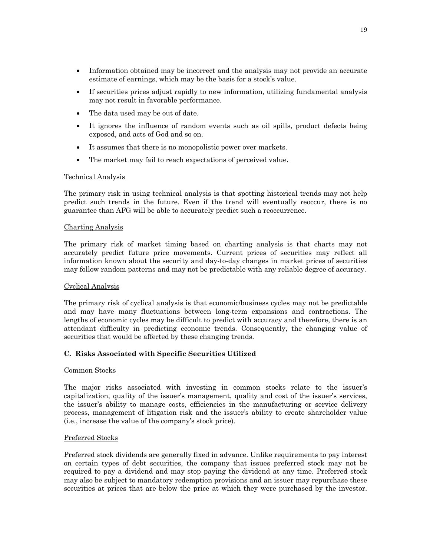- Information obtained may be incorrect and the analysis may not provide an accurate estimate of earnings, which may be the basis for a stock's value.
- If securities prices adjust rapidly to new information, utilizing fundamental analysis may not result in favorable performance.
- The data used may be out of date.
- It ignores the influence of random events such as oil spills, product defects being exposed, and acts of God and so on.
- It assumes that there is no monopolistic power over markets.
- The market may fail to reach expectations of perceived value.

## Technical Analysis

The primary risk in using technical analysis is that spotting historical trends may not help predict such trends in the future. Even if the trend will eventually reoccur, there is no guarantee than AFG will be able to accurately predict such a reoccurrence.

## Charting Analysis

The primary risk of market timing based on charting analysis is that charts may not accurately predict future price movements. Current prices of securities may reflect all information known about the security and day-to-day changes in market prices of securities may follow random patterns and may not be predictable with any reliable degree of accuracy.

## Cyclical Analysis

The primary risk of cyclical analysis is that economic/business cycles may not be predictable and may have many fluctuations between long-term expansions and contractions. The lengths of economic cycles may be difficult to predict with accuracy and therefore, there is an attendant difficulty in predicting economic trends. Consequently, the changing value of securities that would be affected by these changing trends.

## **C. Risks Associated with Specific Securities Utilized**

## Common Stocks

The major risks associated with investing in common stocks relate to the issuer's capitalization, quality of the issuer's management, quality and cost of the issuer's services, the issuer's ability to manage costs, efficiencies in the manufacturing or service delivery process, management of litigation risk and the issuer's ability to create shareholder value (i.e., increase the value of the company's stock price).

## Preferred Stocks

Preferred stock dividends are generally fixed in advance. Unlike requirements to pay interest on certain types of debt securities, the company that issues preferred stock may not be required to pay a dividend and may stop paying the dividend at any time. Preferred stock may also be subject to mandatory redemption provisions and an issuer may repurchase these securities at prices that are below the price at which they were purchased by the investor.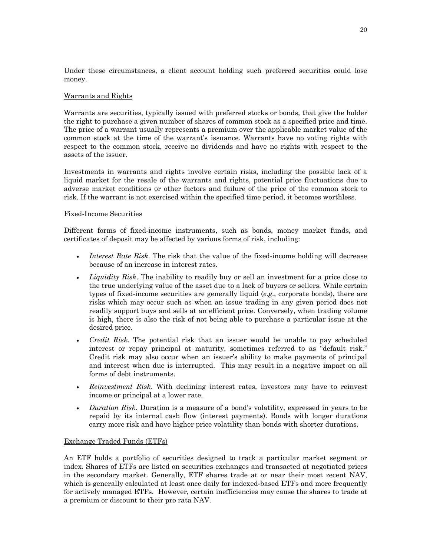Under these circumstances, a client account holding such preferred securities could lose money.

#### Warrants and Rights

Warrants are securities, typically issued with preferred stocks or bonds, that give the holder the right to purchase a given number of shares of common stock as a specified price and time. The price of a warrant usually represents a premium over the applicable market value of the common stock at the time of the warrant's issuance. Warrants have no voting rights with respect to the common stock, receive no dividends and have no rights with respect to the assets of the issuer.

Investments in warrants and rights involve certain risks, including the possible lack of a liquid market for the resale of the warrants and rights, potential price fluctuations due to adverse market conditions or other factors and failure of the price of the common stock to risk. If the warrant is not exercised within the specified time period, it becomes worthless.

#### Fixed-Income Securities

Different forms of fixed-income instruments, such as bonds, money market funds, and certificates of deposit may be affected by various forms of risk, including:

- *Interest Rate Risk*. The risk that the value of the fixed-income holding will decrease because of an increase in interest rates.
- *Liquidity Risk*. The inability to readily buy or sell an investment for a price close to the true underlying value of the asset due to a lack of buyers or sellers. While certain types of fixed-income securities are generally liquid (*e.g*., corporate bonds), there are risks which may occur such as when an issue trading in any given period does not readily support buys and sells at an efficient price. Conversely, when trading volume is high, there is also the risk of not being able to purchase a particular issue at the desired price.
- *Credit Risk*. The potential risk that an issuer would be unable to pay scheduled interest or repay principal at maturity, sometimes referred to as "default risk." Credit risk may also occur when an issuer's ability to make payments of principal and interest when due is interrupted. This may result in a negative impact on all forms of debt instruments.
- *Reinvestment Risk*. With declining interest rates, investors may have to reinvest income or principal at a lower rate.
- *Duration Risk*. Duration is a measure of a bond's volatility, expressed in years to be repaid by its internal cash flow (interest payments). Bonds with longer durations carry more risk and have higher price volatility than bonds with shorter durations.

#### Exchange Traded Funds (ETFs)

An ETF holds a portfolio of securities designed to track a particular market segment or index. Shares of ETFs are listed on securities exchanges and transacted at negotiated prices in the secondary market. Generally, ETF shares trade at or near their most recent NAV, which is generally calculated at least once daily for indexed-based ETFs and more frequently for actively managed ETFs. However, certain inefficiencies may cause the shares to trade at a premium or discount to their pro rata NAV.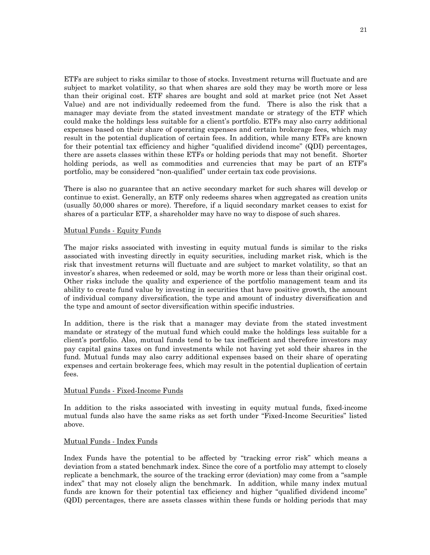ETFs are subject to risks similar to those of stocks. Investment returns will fluctuate and are subject to market volatility, so that when shares are sold they may be worth more or less than their original cost. ETF shares are bought and sold at market price (not Net Asset Value) and are not individually redeemed from the fund. There is also the risk that a manager may deviate from the stated investment mandate or strategy of the ETF which could make the holdings less suitable for a client's portfolio. ETFs may also carry additional expenses based on their share of operating expenses and certain brokerage fees, which may result in the potential duplication of certain fees. In addition, while many ETFs are known for their potential tax efficiency and higher "qualified dividend income" (QDI) percentages, there are assets classes within these ETFs or holding periods that may not benefit. Shorter holding periods, as well as commodities and currencies that may be part of an ETF's portfolio, may be considered "non-qualified" under certain tax code provisions.

There is also no guarantee that an active secondary market for such shares will develop or continue to exist. Generally, an ETF only redeems shares when aggregated as creation units (usually 50,000 shares or more). Therefore, if a liquid secondary market ceases to exist for shares of a particular ETF, a shareholder may have no way to dispose of such shares.

#### Mutual Funds - Equity Funds

The major risks associated with investing in equity mutual funds is similar to the risks associated with investing directly in equity securities, including market risk, which is the risk that investment returns will fluctuate and are subject to market volatility, so that an investor's shares, when redeemed or sold, may be worth more or less than their original cost. Other risks include the quality and experience of the portfolio management team and its ability to create fund value by investing in securities that have positive growth, the amount of individual company diversification, the type and amount of industry diversification and the type and amount of sector diversification within specific industries.

In addition, there is the risk that a manager may deviate from the stated investment mandate or strategy of the mutual fund which could make the holdings less suitable for a client's portfolio. Also, mutual funds tend to be tax inefficient and therefore investors may pay capital gains taxes on fund investments while not having yet sold their shares in the fund. Mutual funds may also carry additional expenses based on their share of operating expenses and certain brokerage fees, which may result in the potential duplication of certain fees.

#### Mutual Funds - Fixed-Income Funds

In addition to the risks associated with investing in equity mutual funds, fixed-income mutual funds also have the same risks as set forth under "Fixed-Income Securities" listed above.

#### Mutual Funds - Index Funds

Index Funds have the potential to be affected by "tracking error risk" which means a deviation from a stated benchmark index. Since the core of a portfolio may attempt to closely replicate a benchmark, the source of the tracking error (deviation) may come from a "sample index" that may not closely align the benchmark. In addition, while many index mutual funds are known for their potential tax efficiency and higher "qualified dividend income" (QDI) percentages, there are assets classes within these funds or holding periods that may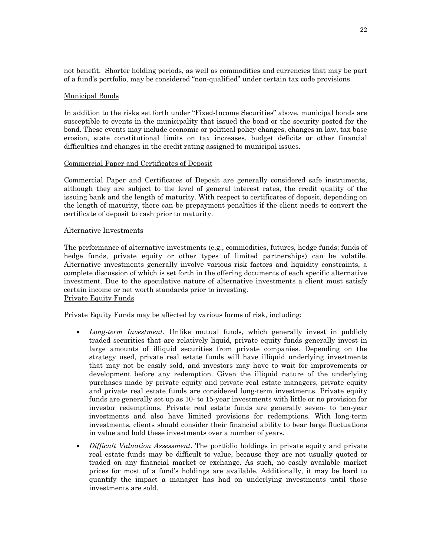not benefit. Shorter holding periods, as well as commodities and currencies that may be part of a fund's portfolio, may be considered "non-qualified" under certain tax code provisions.

#### Municipal Bonds

In addition to the risks set forth under "Fixed-Income Securities" above, municipal bonds are susceptible to events in the municipality that issued the bond or the security posted for the bond. These events may include economic or political policy changes, changes in law, tax base erosion, state constitutional limits on tax increases, budget deficits or other financial difficulties and changes in the credit rating assigned to municipal issues.

#### Commercial Paper and Certificates of Deposit

Commercial Paper and Certificates of Deposit are generally considered safe instruments, although they are subject to the level of general interest rates, the credit quality of the issuing bank and the length of maturity. With respect to certificates of deposit, depending on the length of maturity, there can be prepayment penalties if the client needs to convert the certificate of deposit to cash prior to maturity.

#### Alternative Investments

The performance of alternative investments (e.g., commodities, futures, hedge funds; funds of hedge funds, private equity or other types of limited partnerships) can be volatile. Alternative investments generally involve various risk factors and liquidity constraints, a complete discussion of which is set forth in the offering documents of each specific alternative investment. Due to the speculative nature of alternative investments a client must satisfy certain income or net worth standards prior to investing. Private Equity Funds

Private Equity Funds may be affected by various forms of risk, including:

- *Long-term Investment*. Unlike mutual funds, which generally invest in publicly traded securities that are relatively liquid, private equity funds generally invest in large amounts of illiquid securities from private companies. Depending on the strategy used, private real estate funds will have illiquid underlying investments that may not be easily sold, and investors may have to wait for improvements or development before any redemption. Given the illiquid nature of the underlying purchases made by private equity and private real estate managers, private equity and private real estate funds are considered long-term investments. Private equity funds are generally set up as 10- to 15-year investments with little or no provision for investor redemptions. Private real estate funds are generally seven- to ten-year investments and also have limited provisions for redemptions. With long-term investments, clients should consider their financial ability to bear large fluctuations in value and hold these investments over a number of years.
- *Difficult Valuation Assessment*. The portfolio holdings in private equity and private real estate funds may be difficult to value, because they are not usually quoted or traded on any financial market or exchange. As such, no easily available market prices for most of a fund's holdings are available. Additionally, it may be hard to quantify the impact a manager has had on underlying investments until those investments are sold.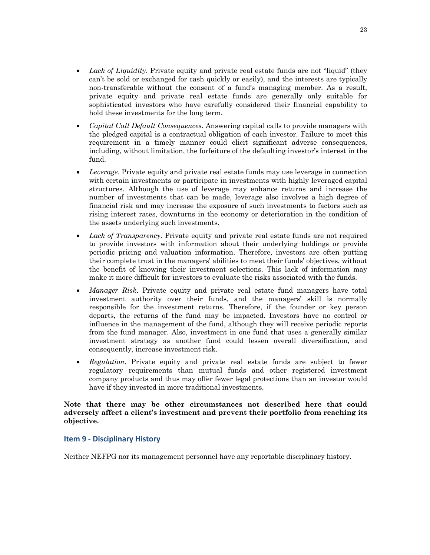- *Lack of Liquidity*. Private equity and private real estate funds are not "liquid" (they can't be sold or exchanged for cash quickly or easily), and the interests are typically non-transferable without the consent of a fund's managing member. As a result, private equity and private real estate funds are generally only suitable for sophisticated investors who have carefully considered their financial capability to hold these investments for the long term.
- *Capital Call Default Consequences*. Answering capital calls to provide managers with the pledged capital is a contractual obligation of each investor. Failure to meet this requirement in a timely manner could elicit significant adverse consequences, including, without limitation, the forfeiture of the defaulting investor's interest in the fund.
- *Leverage*. Private equity and private real estate funds may use leverage in connection with certain investments or participate in investments with highly leveraged capital structures. Although the use of leverage may enhance returns and increase the number of investments that can be made, leverage also involves a high degree of financial risk and may increase the exposure of such investments to factors such as rising interest rates, downturns in the economy or deterioration in the condition of the assets underlying such investments.
- *Lack of Transparency*. Private equity and private real estate funds are not required to provide investors with information about their underlying holdings or provide periodic pricing and valuation information. Therefore, investors are often putting their complete trust in the managers' abilities to meet their funds' objectives, without the benefit of knowing their investment selections. This lack of information may make it more difficult for investors to evaluate the risks associated with the funds.
- *Manager Risk*. Private equity and private real estate fund managers have total investment authority over their funds, and the managers' skill is normally responsible for the investment returns. Therefore, if the founder or key person departs, the returns of the fund may be impacted. Investors have no control or influence in the management of the fund, although they will receive periodic reports from the fund manager. Also, investment in one fund that uses a generally similar investment strategy as another fund could lessen overall diversification, and consequently, increase investment risk.
- *Regulation*. Private equity and private real estate funds are subject to fewer regulatory requirements than mutual funds and other registered investment company products and thus may offer fewer legal protections than an investor would have if they invested in more traditional investments.

## **Note that there may be other circumstances not described here that could adversely affect a client's investment and prevent their portfolio from reaching its objective.**

# **Item 9 - Disciplinary History**

Neither NEFPG nor its management personnel have any reportable disciplinary history.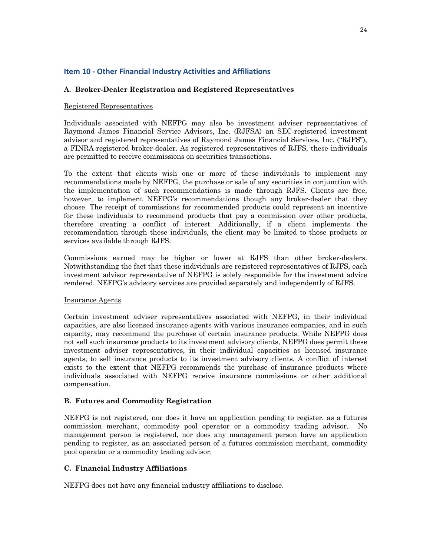# **Item 10 - Other Financial Industry Activities and Affiliations**

## **A. Broker-Dealer Registration and Registered Representatives**

#### Registered Representatives

Individuals associated with NEFPG may also be investment adviser representatives of Raymond James Financial Service Advisors, Inc. (RJFSA) an SEC-registered investment advisor and registered representatives of Raymond James Financial Services, Inc. ("RJFS"), a FINRA-registered broker-dealer. As registered representatives of RJFS, these individuals are permitted to receive commissions on securities transactions.

To the extent that clients wish one or more of these individuals to implement any recommendations made by NEFPG, the purchase or sale of any securities in conjunction with the implementation of such recommendations is made through RJFS. Clients are free, however, to implement NEFPG's recommendations though any broker-dealer that they choose. The receipt of commissions for recommended products could represent an incentive for these individuals to recommend products that pay a commission over other products, therefore creating a conflict of interest. Additionally, if a client implements the recommendation through these individuals, the client may be limited to those products or services available through RJFS.

Commissions earned may be higher or lower at RJFS than other broker-dealers. Notwithstanding the fact that these individuals are registered representatives of RJFS, each investment advisor representative of NEFPG is solely responsible for the investment advice rendered. NEFPG's advisory services are provided separately and independently of RJFS.

## Insurance Agents

Certain investment adviser representatives associated with NEFPG, in their individual capacities, are also licensed insurance agents with various insurance companies, and in such capacity, may recommend the purchase of certain insurance products. While NEFPG does not sell such insurance products to its investment advisory clients, NEFPG does permit these investment adviser representatives, in their individual capacities as licensed insurance agents, to sell insurance products to its investment advisory clients. A conflict of interest exists to the extent that NEFPG recommends the purchase of insurance products where individuals associated with NEFPG receive insurance commissions or other additional compensation.

## **B. Futures and Commodity Registration**

NEFPG is not registered, nor does it have an application pending to register, as a futures commission merchant, commodity pool operator or a commodity trading advisor. No management person is registered, nor does any management person have an application pending to register, as an associated person of a futures commission merchant, commodity pool operator or a commodity trading advisor.

## **C. Financial Industry Affiliations**

NEFPG does not have any financial industry affiliations to disclose.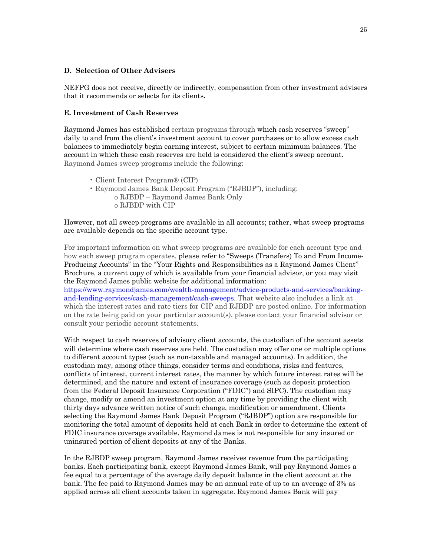#### **D. Selection of Other Advisers**

NEFPG does not receive, directly or indirectly, compensation from other investment advisers that it recommends or selects for its clients.

#### **E. Investment of Cash Reserves**

Raymond James has established certain programs through which cash reserves "sweep" daily to and from the client's investment account to cover purchases or to allow excess cash balances to immediately begin earning interest, subject to certain minimum balances. The account in which these cash reserves are held is considered the client's sweep account. Raymond James sweep programs include the following:

- Client Interest Program® (CIP)
- Raymond James Bank Deposit Program ("RJBDP"), including: o RJBDP – Raymond James Bank Only
	- o RJBDP with CIP

However, not all sweep programs are available in all accounts; rather, what sweep programs are available depends on the specific account type.

For important information on what sweep programs are available for each account type and how each sweep program operates, please refer to "Sweeps (Transfers) To and From Income-Producing Accounts" in the "Your Rights and Responsibilities as a Raymond James Client" Brochure, a current copy of which is available from your financial advisor, or you may visit the Raymond James public website for additional information:

https://www.raymondjames.com/wealth-management/advice-products-and-services/bankingand-lending-services/cash-management/cash-sweeps. That website also includes a link at which the interest rates and rate tiers for CIP and RJBDP are posted online. For information on the rate being paid on your particular account(s), please contact your financial advisor or consult your periodic account statements.

With respect to cash reserves of advisory client accounts, the custodian of the account assets will determine where cash reserves are held. The custodian may offer one or multiple options to different account types (such as non-taxable and managed accounts). In addition, the custodian may, among other things, consider terms and conditions, risks and features, conflicts of interest, current interest rates, the manner by which future interest rates will be determined, and the nature and extent of insurance coverage (such as deposit protection from the Federal Deposit Insurance Corporation ("FDIC") and SIPC). The custodian may change, modify or amend an investment option at any time by providing the client with thirty days advance written notice of such change, modification or amendment. Clients selecting the Raymond James Bank Deposit Program ("RJBDP") option are responsible for monitoring the total amount of deposits held at each Bank in order to determine the extent of FDIC insurance coverage available. Raymond James is not responsible for any insured or uninsured portion of client deposits at any of the Banks.

In the RJBDP sweep program, Raymond James receives revenue from the participating banks. Each participating bank, except Raymond James Bank, will pay Raymond James a fee equal to a percentage of the average daily deposit balance in the client account at the bank. The fee paid to Raymond James may be an annual rate of up to an average of 3% as applied across all client accounts taken in aggregate. Raymond James Bank will pay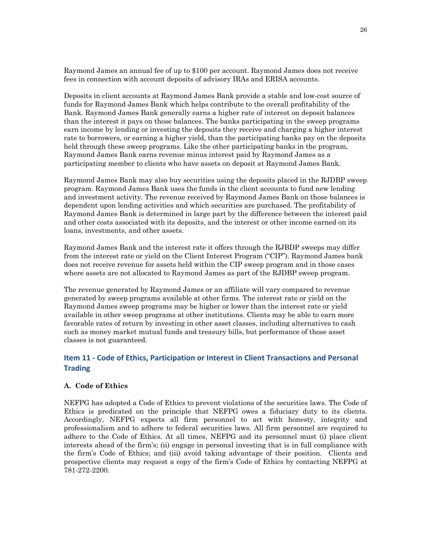Raymond James an annual fee of up to \$100 per account. Raymond James does not receive fees in connection with account deposits of advisory IRAs and ERISA accounts.

Deposits in client accounts at Raymond James Bank provide a stable and low-cost source of funds for Raymond James Bank which helps contribute to the overall profitability of the Bank. Raymond James Bank generally earns a higher rate of interest on deposit balances than the interest it pays on those balances. The banks participating in the sweep programs earn income by lending or investing the deposits they receive and charging a higher interest rate to borrowers, or earning a higher yield, than the participating banks pay on the deposits held through these sweep programs. Like the other participating banks in the program, Raymond James Bank earns revenue minus interest paid by Raymond James as a participating member to clients who have assets on deposit at Raymond James Bank.

Raymond James Bank may also buy securities using the deposits placed in the RJDBP sweep program. Raymond James Bank uses the funds in the client accounts to fund new lending and investment activity. The revenue received by Raymond James Bank on those balances is dependent upon lending activities and which securities are purchased. The profitability of Raymond James Bank is determined in large part by the difference between the interest paid and other costs associated with its deposits, and the interest or other income earned on its loans, investments, and other assets.

Raymond James Bank and the interest rate it offers through the RJBDP sweeps may differ from the interest rate or yield on the Client Interest Program ("CIP"). Raymond James bank does not receive revenue for assets held within the CIP sweep program and in those cases where assets are not allocated to Raymond James as part of the RJDBP sweep program.

The revenue generated by Raymond James or an affiliate will vary compared to revenue generated by sweep programs available at other firms. The interest rate or yield on the Raymond James sweep programs may be higher or lower than the interest rate or yield available in other sweep programs at other institutions. Clients may be able to earn more favorable rates of return by investing in other asset classes, including alternatives to cash such as money market mutual funds and treasury bills, but performance of those asset classes is not guaranteed.

# **Item 11 - Code of Ethics, Participation or Interest in Client Transactions and Personal Trading**

## **A. Code of Ethics**

NEFPG has adopted a Code of Ethics to prevent violations of the securities laws. The Code of Ethics is predicated on the principle that NEFPG owes a fiduciary duty to its clients. Accordingly, NEFPG expects all firm personnel to act with honesty, integrity and professionalism and to adhere to federal securities laws. All firm personnel are required to adhere to the Code of Ethics. At all times, NEFPG and its personnel must (i) place client interests ahead of the firm's; (ii) engage in personal investing that is in full compliance with the firm's Code of Ethics; and (iii) avoid taking advantage of their position. Clients and prospective clients may request a copy of the firm's Code of Ethics by contacting NEFPG at 781-272-2200.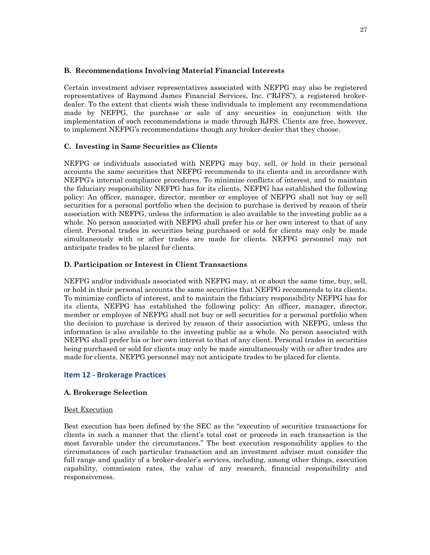## **B. Recommendations Involving Material Financial Interests**

Certain investment adviser representatives associated with NEFPG may also be registered representatives of Raymond James Financial Services, Inc. ("RJFS"), a registered brokerdealer. To the extent that clients wish these individuals to implement any recommendations made by NEFPG, the purchase or sale of any securities in conjunction with the implementation of such recommendations is made through RJFS. Clients are free, however, to implement NEFPG's recommendations though any broker-dealer that they choose.

## **C. Investing in Same Securities as Clients**

NEFPG or individuals associated with NEFPG may buy, sell, or hold in their personal accounts the same securities that NEFPG recommends to its clients and in accordance with NEFPG's internal compliance procedures. To minimize conflicts of interest, and to maintain the fiduciary responsibility NEFPG has for its clients, NEFPG has established the following policy: An officer, manager, director, member or employee of NEFPG shall not buy or sell securities for a personal portfolio when the decision to purchase is derived by reason of their association with NEFPG, unless the information is also available to the investing public as a whole. No person associated with NEFPG shall prefer his or her own interest to that of any client. Personal trades in securities being purchased or sold for clients may only be made simultaneously with or after trades are made for clients. NEFPG personnel may not anticipate trades to be placed for clients.

## **D. Participation or Interest in Client Transactions**

NEFPG and/or individuals associated with NEFPG may, at or about the same time, buy, sell, or hold in their personal accounts the same securities that NEFPG recommends to its clients. To minimize conflicts of interest, and to maintain the fiduciary responsibility NEFPG has for its clients, NEFPG has established the following policy: An officer, manager, director, member or employee of NEFPG shall not buy or sell securities for a personal portfolio when the decision to purchase is derived by reason of their association with NEFPG, unless the information is also available to the investing public as a whole. No person associated with NEFPG shall prefer his or her own interest to that of any client. Personal trades in securities being purchased or sold for clients may only be made simultaneously with or after trades are made for clients. NEFPG personnel may not anticipate trades to be placed for clients.

## **Item 12 - Brokerage Practices**

## **A. Brokerage Selection**

#### Best Execution

Best execution has been defined by the SEC as the "execution of securities transactions for clients in such a manner that the client's total cost or proceeds in each transaction is the most favorable under the circumstances." The best execution responsibility applies to the circumstances of each particular transaction and an investment adviser must consider the full range and quality of a broker-dealer's services, including, among other things, execution capability, commission rates, the value of any research, financial responsibility and responsiveness.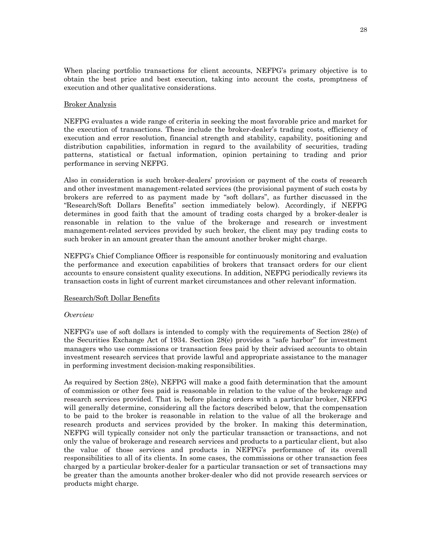When placing portfolio transactions for client accounts, NEFPG's primary objective is to obtain the best price and best execution, taking into account the costs, promptness of execution and other qualitative considerations.

#### Broker Analysis

NEFPG evaluates a wide range of criteria in seeking the most favorable price and market for the execution of transactions. These include the broker-dealer's trading costs, efficiency of execution and error resolution, financial strength and stability, capability, positioning and distribution capabilities, information in regard to the availability of securities, trading patterns, statistical or factual information, opinion pertaining to trading and prior performance in serving NEFPG.

Also in consideration is such broker-dealers' provision or payment of the costs of research and other investment management-related services (the provisional payment of such costs by brokers are referred to as payment made by "soft dollars", as further discussed in the "Research/Soft Dollars Benefits" section immediately below). Accordingly, if NEFPG determines in good faith that the amount of trading costs charged by a broker-dealer is reasonable in relation to the value of the brokerage and research or investment management-related services provided by such broker, the client may pay trading costs to such broker in an amount greater than the amount another broker might charge.

NEFPG's Chief Compliance Officer is responsible for continuously monitoring and evaluation the performance and execution capabilities of brokers that transact orders for our client accounts to ensure consistent quality executions. In addition, NEFPG periodically reviews its transaction costs in light of current market circumstances and other relevant information.

#### Research/Soft Dollar Benefits

#### *Overview*

NEFPG's use of soft dollars is intended to comply with the requirements of Section 28(e) of the Securities Exchange Act of 1934. Section 28(e) provides a "safe harbor" for investment managers who use commissions or transaction fees paid by their advised accounts to obtain investment research services that provide lawful and appropriate assistance to the manager in performing investment decision-making responsibilities.

As required by Section 28(e), NEFPG will make a good faith determination that the amount of commission or other fees paid is reasonable in relation to the value of the brokerage and research services provided. That is, before placing orders with a particular broker, NEFPG will generally determine, considering all the factors described below, that the compensation to be paid to the broker is reasonable in relation to the value of all the brokerage and research products and services provided by the broker. In making this determination, NEFPG will typically consider not only the particular transaction or transactions, and not only the value of brokerage and research services and products to a particular client, but also the value of those services and products in NEFPG's performance of its overall responsibilities to all of its clients. In some cases, the commissions or other transaction fees charged by a particular broker-dealer for a particular transaction or set of transactions may be greater than the amounts another broker-dealer who did not provide research services or products might charge.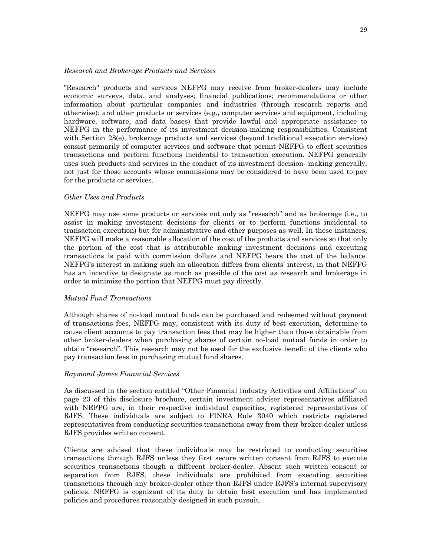#### *Research and Brokerage Products and Services*

"Research" products and services NEFPG may receive from broker-dealers may include economic surveys, data, and analyses; financial publications; recommendations or other information about particular companies and industries (through research reports and otherwise); and other products or services (e.g., computer services and equipment, including hardware, software, and data bases) that provide lawful and appropriate assistance to NEFPG in the performance of its investment decision-making responsibilities. Consistent with Section 28(e), brokerage products and services (beyond traditional execution services) consist primarily of computer services and software that permit NEFPG to effect securities transactions and perform functions incidental to transaction execution. NEFPG generally uses such products and services in the conduct of its investment decision- making generally, not just for those accounts whose commissions may be considered to have been used to pay for the products or services.

#### *Other Uses and Products*

NEFPG may use some products or services not only as "research" and as brokerage (i.e., to assist in making investment decisions for clients or to perform functions incidental to transaction execution) but for administrative and other purposes as well. In these instances, NEFPG will make a reasonable allocation of the cost of the products and services so that only the portion of the cost that is attributable making investment decisions and executing transactions is paid with commission dollars and NEFPG bears the cost of the balance. NEFPG's interest in making such an allocation differs from clients' interest, in that NEFPG has an incentive to designate as much as possible of the cost as research and brokerage in order to minimize the portion that NEFPG must pay directly.

#### *Mutual Fund Transactions*

Although shares of no-load mutual funds can be purchased and redeemed without payment of transactions fees, NEFPG may, consistent with its duty of best execution, determine to cause client accounts to pay transaction fees that may be higher than those obtainable from other broker-dealers when purchasing shares of certain no-load mutual funds in order to obtain "research". This research may not be used for the exclusive benefit of the clients who pay transaction fees in purchasing mutual fund shares.

#### *Raymond James Financial Services*

As discussed in the section entitled "Other Financial Industry Activities and Affiliations" on page 23 of this disclosure brochure, certain investment adviser representatives affiliated with NEFPG are, in their respective individual capacities, registered representatives of RJFS. These individuals are subject to FINRA Rule 3040 which restricts registered representatives from conducting securities transactions away from their broker-dealer unless RJFS provides written consent.

Clients are advised that these individuals may be restricted to conducting securities transactions through RJFS unless they first secure written consent from RJFS to execute securities transactions though a different broker-dealer. Absent such written consent or separation from RJFS, these individuals are prohibited from executing securities transactions through any broker-dealer other than RJFS under RJFS's internal supervisory policies. NEFPG is cognizant of its duty to obtain best execution and has implemented policies and procedures reasonably designed in such pursuit.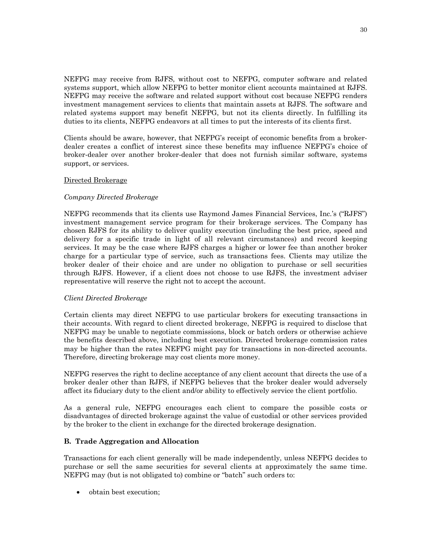NEFPG may receive from RJFS, without cost to NEFPG, computer software and related systems support, which allow NEFPG to better monitor client accounts maintained at RJFS. NEFPG may receive the software and related support without cost because NEFPG renders investment management services to clients that maintain assets at RJFS. The software and related systems support may benefit NEFPG, but not its clients directly. In fulfilling its duties to its clients, NEFPG endeavors at all times to put the interests of its clients first.

Clients should be aware, however, that NEFPG's receipt of economic benefits from a brokerdealer creates a conflict of interest since these benefits may influence NEFPG's choice of broker-dealer over another broker-dealer that does not furnish similar software, systems support, or services.

#### Directed Brokerage

## *Company Directed Brokerage*

NEFPG recommends that its clients use Raymond James Financial Services, Inc.'s ("RJFS") investment management service program for their brokerage services. The Company has chosen RJFS for its ability to deliver quality execution (including the best price, speed and delivery for a specific trade in light of all relevant circumstances) and record keeping services. It may be the case where RJFS charges a higher or lower fee than another broker charge for a particular type of service, such as transactions fees. Clients may utilize the broker dealer of their choice and are under no obligation to purchase or sell securities through RJFS. However, if a client does not choose to use RJFS, the investment adviser representative will reserve the right not to accept the account.

#### *Client Directed Brokerage*

Certain clients may direct NEFPG to use particular brokers for executing transactions in their accounts. With regard to client directed brokerage, NEFPG is required to disclose that NEFPG may be unable to negotiate commissions, block or batch orders or otherwise achieve the benefits described above, including best execution. Directed brokerage commission rates may be higher than the rates NEFPG might pay for transactions in non-directed accounts. Therefore, directing brokerage may cost clients more money.

NEFPG reserves the right to decline acceptance of any client account that directs the use of a broker dealer other than RJFS, if NEFPG believes that the broker dealer would adversely affect its fiduciary duty to the client and/or ability to effectively service the client portfolio.

As a general rule, NEFPG encourages each client to compare the possible costs or disadvantages of directed brokerage against the value of custodial or other services provided by the broker to the client in exchange for the directed brokerage designation.

## **B. Trade Aggregation and Allocation**

Transactions for each client generally will be made independently, unless NEFPG decides to purchase or sell the same securities for several clients at approximately the same time. NEFPG may (but is not obligated to) combine or "batch" such orders to:

• obtain best execution;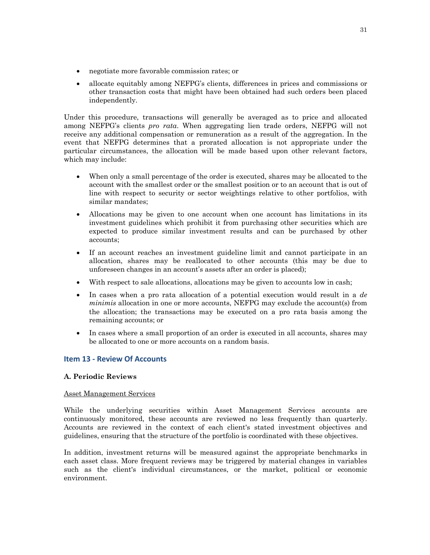- negotiate more favorable commission rates; or
- allocate equitably among NEFPG's clients, differences in prices and commissions or other transaction costs that might have been obtained had such orders been placed independently.

Under this procedure, transactions will generally be averaged as to price and allocated among NEFPG's clients *pro rata*. When aggregating lien trade orders, NEFPG will not receive any additional compensation or remuneration as a result of the aggregation. In the event that NEFPG determines that a prorated allocation is not appropriate under the particular circumstances, the allocation will be made based upon other relevant factors, which may include:

- When only a small percentage of the order is executed, shares may be allocated to the account with the smallest order or the smallest position or to an account that is out of line with respect to security or sector weightings relative to other portfolios, with similar mandates;
- Allocations may be given to one account when one account has limitations in its investment guidelines which prohibit it from purchasing other securities which are expected to produce similar investment results and can be purchased by other accounts;
- If an account reaches an investment guideline limit and cannot participate in an allocation, shares may be reallocated to other accounts (this may be due to unforeseen changes in an account's assets after an order is placed);
- With respect to sale allocations, allocations may be given to accounts low in cash;
- In cases when a pro rata allocation of a potential execution would result in a *de minimis* allocation in one or more accounts, NEFPG may exclude the account(s) from the allocation; the transactions may be executed on a pro rata basis among the remaining accounts; or
- In cases where a small proportion of an order is executed in all accounts, shares may be allocated to one or more accounts on a random basis.

# **Item 13 - Review Of Accounts**

## **A. Periodic Reviews**

## Asset Management Services

While the underlying securities within Asset Management Services accounts are continuously monitored, these accounts are reviewed no less frequently than quarterly. Accounts are reviewed in the context of each client's stated investment objectives and guidelines, ensuring that the structure of the portfolio is coordinated with these objectives.

In addition, investment returns will be measured against the appropriate benchmarks in each asset class. More frequent reviews may be triggered by material changes in variables such as the client's individual circumstances, or the market, political or economic environment.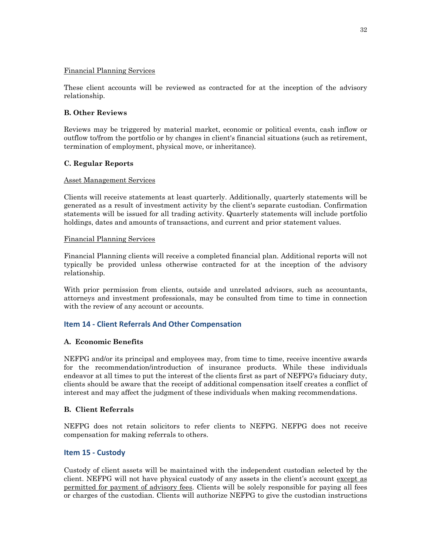## Financial Planning Services

These client accounts will be reviewed as contracted for at the inception of the advisory relationship.

## **B. Other Reviews**

Reviews may be triggered by material market, economic or political events, cash inflow or outflow to/from the portfolio or by changes in client's financial situations (such as retirement, termination of employment, physical move, or inheritance).

## **C. Regular Reports**

## Asset Management Services

Clients will receive statements at least quarterly. Additionally, quarterly statements will be generated as a result of investment activity by the client's separate custodian. Confirmation statements will be issued for all trading activity. Quarterly statements will include portfolio holdings, dates and amounts of transactions, and current and prior statement values.

## Financial Planning Services

Financial Planning clients will receive a completed financial plan. Additional reports will not typically be provided unless otherwise contracted for at the inception of the advisory relationship.

With prior permission from clients, outside and unrelated advisors, such as accountants, attorneys and investment professionals, may be consulted from time to time in connection with the review of any account or accounts.

# **Item 14 - Client Referrals And Other Compensation**

## **A. Economic Benefits**

NEFPG and/or its principal and employees may, from time to time, receive incentive awards for the recommendation/introduction of insurance products. While these individuals endeavor at all times to put the interest of the clients first as part of NEFPG's fiduciary duty, clients should be aware that the receipt of additional compensation itself creates a conflict of interest and may affect the judgment of these individuals when making recommendations.

## **B. Client Referrals**

NEFPG does not retain solicitors to refer clients to NEFPG. NEFPG does not receive compensation for making referrals to others.

# **Item 15 - Custody**

Custody of client assets will be maintained with the independent custodian selected by the client. NEFPG will not have physical custody of any assets in the client's account except as permitted for payment of advisory fees. Clients will be solely responsible for paying all fees or charges of the custodian. Clients will authorize NEFPG to give the custodian instructions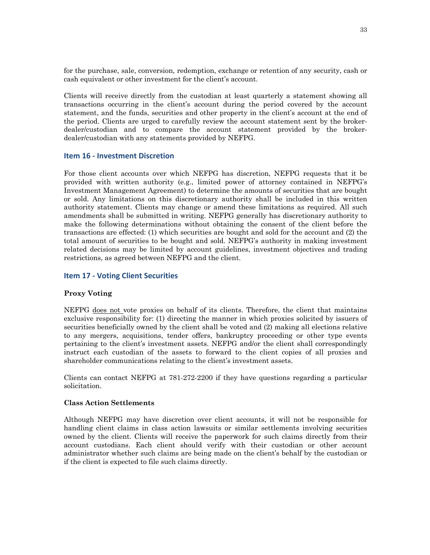for the purchase, sale, conversion, redemption, exchange or retention of any security, cash or cash equivalent or other investment for the client's account.

Clients will receive directly from the custodian at least quarterly a statement showing all transactions occurring in the client's account during the period covered by the account statement, and the funds, securities and other property in the client's account at the end of the period. Clients are urged to carefully review the account statement sent by the brokerdealer/custodian and to compare the account statement provided by the brokerdealer/custodian with any statements provided by NEFPG.

## **Item 16 - Investment Discretion**

For those client accounts over which NEFPG has discretion, NEFPG requests that it be provided with written authority (e.g., limited power of attorney contained in NEFPG's Investment Management Agreement) to determine the amounts of securities that are bought or sold. Any limitations on this discretionary authority shall be included in this written authority statement. Clients may change or amend these limitations as required. All such amendments shall be submitted in writing. NEFPG generally has discretionary authority to make the following determinations without obtaining the consent of the client before the transactions are effected: (1) which securities are bought and sold for the account and (2) the total amount of securities to be bought and sold. NEFPG's authority in making investment related decisions may be limited by account guidelines, investment objectives and trading restrictions, as agreed between NEFPG and the client.

#### **Item 17 - Voting Client Securities**

#### **Proxy Voting**

NEFPG does not vote proxies on behalf of its clients. Therefore, the client that maintains exclusive responsibility for: (1) directing the manner in which proxies solicited by issuers of securities beneficially owned by the client shall be voted and (2) making all elections relative to any mergers, acquisitions, tender offers, bankruptcy proceeding or other type events pertaining to the client's investment assets. NEFPG and/or the client shall correspondingly instruct each custodian of the assets to forward to the client copies of all proxies and shareholder communications relating to the client's investment assets.

Clients can contact NEFPG at 781-272-2200 if they have questions regarding a particular solicitation.

#### **Class Action Settlements**

Although NEFPG may have discretion over client accounts, it will not be responsible for handling client claims in class action lawsuits or similar settlements involving securities owned by the client. Clients will receive the paperwork for such claims directly from their account custodians. Each client should verify with their custodian or other account administrator whether such claims are being made on the client's behalf by the custodian or if the client is expected to file such claims directly.